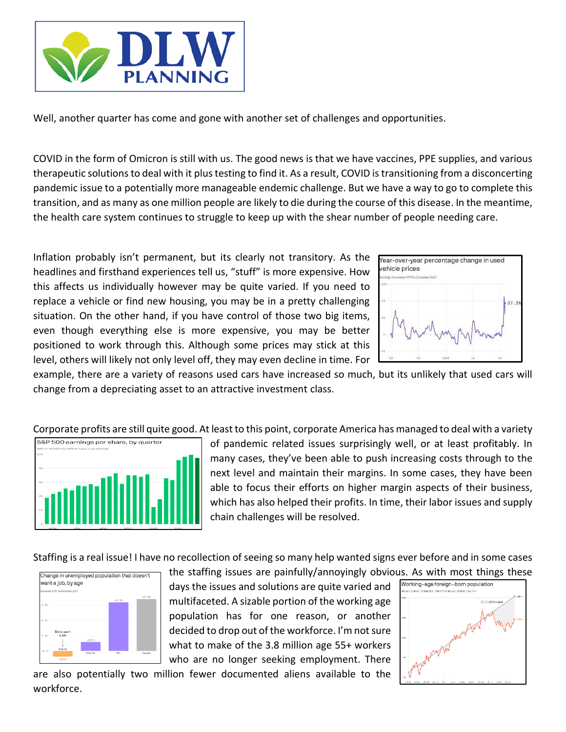

Well, another quarter has come and gone with another set of challenges and opportunities.

COVID in the form of Omicron is still with us. The good news is that we have vaccines, PPE supplies, and various therapeutic solutions to deal with it plus testing to find it. As a result, COVID is transitioning from a disconcerting pandemic issue to a potentially more manageable endemic challenge. But we have a way to go to complete this transition, and as many as one million people are likely to die during the course of this disease. In the meantime, the health care system continues to struggle to keep up with the shear number of people needing care.

Inflation probably isn't permanent, but its clearly not transitory. As the headlines and firsthand experiences tell us, "stuff" is more expensive. How this affects us individually however may be quite varied. If you need to replace a vehicle or find new housing, you may be in a pretty challenging situation. On the other hand, if you have control of those two big items, even though everything else is more expensive, you may be better positioned to work through this. Although some prices may stick at this level, others will likely not only level off, they may even decline in time. For



example, there are a variety of reasons used cars have increased so much, but its unlikely that used cars will change from a depreciating asset to an attractive investment class.

Corporate profits are still quite good. At least to this point, corporate America has managed to deal with a variety



of pandemic related issues surprisingly well, or at least profitably. In many cases, they've been able to push increasing costs through to the next level and maintain their margins. In some cases, they have been able to focus their efforts on higher margin aspects of their business, which has also helped their profits. In time, their labor issues and supply chain challenges will be resolved.

Staffing is a real issue! I have no recollection of seeing so many help wanted signs ever before and in some cases



the staffing issues are painfully/annoyingly obvious. As with most things these days the issues and solutions are quite varied and multifaceted. A sizable portion of the working age population has for one reason, or another decided to drop out of the workforce. I'm not sure what to make of the 3.8 million age 55+ workers who are no longer seeking employment. There



Working-age foreign-born population

are also potentially two million fewer documented aliens available to the workforce.